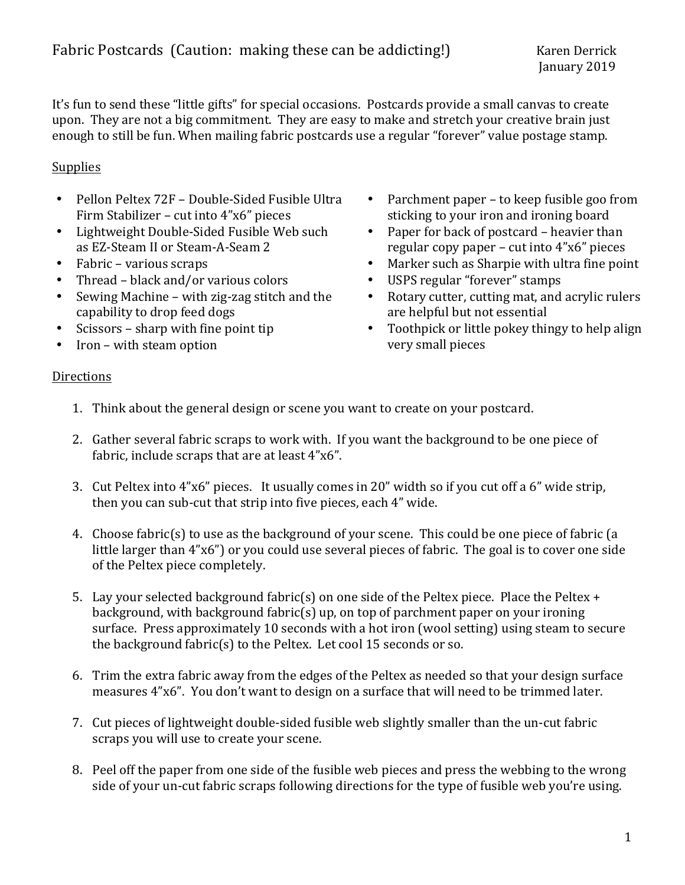It's fun to send these "little gifts" for special occasions. Postcards provide a small canvas to create upon. They are not a big commitment. They are easy to make and stretch your creative brain just enough to still be fun. When mailing fabric postcards use a regular "forever" value postage stamp.

## **Supplies**

- Pellon Peltex 72F Double-Sided Fusible Ultra Firm Stabilizer – cut into  $4"x6"$  pieces
- Lightweight Double-Sided Fusible Web such as EZ-Steam II or Steam-A-Seam 2
- $\bullet$  Fabric various scraps
- Thread black and/or various colors
- Sewing Machine with zig-zag stitch and the capability to drop feed dogs
- Scissors sharp with fine point tip
- Iron with steam option
- Parchment paper to keep fusible goo from sticking to your iron and ironing board
- Paper for back of postcard  $-$  heavier than regular copy paper – cut into  $4"x6"$  pieces
- Marker such as Sharpie with ultra fine point
- USPS regular "forever" stamps
- Rotary cutter, cutting mat, and acrylic rulers are helpful but not essential
- Toothpick or little pokey thingy to help align very small pieces

## **Directions**

- 1. Think about the general design or scene you want to create on your postcard.
- 2. Gather several fabric scraps to work with. If you want the background to be one piece of fabric, include scraps that are at least 4"x6".
- 3. Cut Peltex into 4"x6" pieces. It usually comes in 20" width so if you cut off a 6" wide strip, then you can sub-cut that strip into five pieces, each 4" wide.
- 4. Choose fabric(s) to use as the background of your scene. This could be one piece of fabric (a little larger than 4"x6") or you could use several pieces of fabric. The goal is to cover one side of the Peltex piece completely.
- 5. Lay your selected background fabric(s) on one side of the Peltex piece. Place the Peltex + background, with background fabric(s) up, on top of parchment paper on your ironing surface. Press approximately 10 seconds with a hot iron (wool setting) using steam to secure the background fabric(s) to the Peltex. Let cool 15 seconds or so.
- 6. Trim the extra fabric away from the edges of the Peltex as needed so that your design surface measures 4"x6". You don't want to design on a surface that will need to be trimmed later.
- 7. Cut pieces of lightweight double-sided fusible web slightly smaller than the un-cut fabric scraps you will use to create your scene.
- 8. Peel off the paper from one side of the fusible web pieces and press the webbing to the wrong side of your un-cut fabric scraps following directions for the type of fusible web you're using.